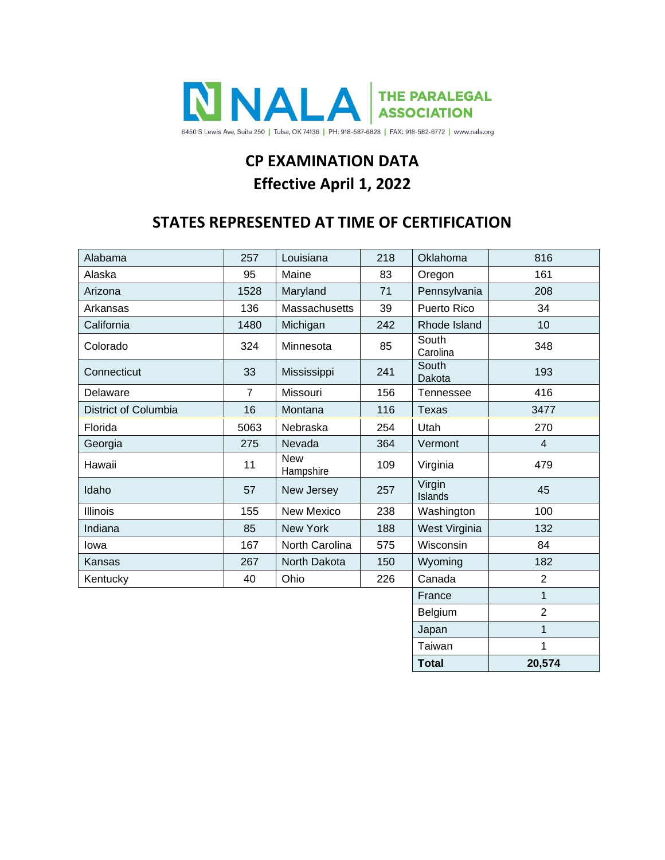

# **CP EXAMINATION DATA Effective April 1, 2022**

## **STATES REPRESENTED AT TIME OF CERTIFICATION**

| Alabama              | 257            | Louisiana               | 218 | Oklahoma          | 816            |
|----------------------|----------------|-------------------------|-----|-------------------|----------------|
| Alaska               | 95             | Maine                   | 83  | Oregon            | 161            |
| Arizona              | 1528           | Maryland                | 71  | Pennsylvania      | 208            |
| Arkansas             | 136            | Massachusetts           | 39  | Puerto Rico       | 34             |
| California           | 1480           | Michigan                | 242 | Rhode Island      | 10             |
| Colorado             | 324            | Minnesota               | 85  | South<br>Carolina | 348            |
| Connecticut          | 33             | Mississippi<br>241      |     | South<br>Dakota   | 193            |
| Delaware             | $\overline{7}$ | Missouri                | 156 | Tennessee         | 416            |
| District of Columbia | 16             | Montana                 | 116 | <b>Texas</b>      | 3477           |
| Florida              | 5063           | Nebraska                | 254 | Utah              | 270            |
| Georgia              | 275            | Nevada                  | 364 | Vermont           | $\overline{4}$ |
| Hawaii               | 11             | <b>New</b><br>Hampshire | 109 | Virginia          | 479            |
| Idaho                | 57             | New Jersey              | 257 | Virgin<br>Islands | 45             |
| Illinois             | 155            | New Mexico              | 238 | Washington        | 100            |
| Indiana              | 85             | New York                | 188 | West Virginia     | 132            |
| lowa                 | 167            | North Carolina          | 575 | Wisconsin         | 84             |
| Kansas               | 267            | North Dakota            | 150 | Wyoming           | 182            |
| Kentucky             | 40             | Ohio                    | 226 | Canada            | $\overline{2}$ |
|                      |                |                         |     | France            | $\mathbf{1}$   |
|                      |                |                         |     | Belgium           | $\overline{2}$ |
|                      | Japan          | $\mathbf{1}$            |     |                   |                |
|                      | Taiwan         | 1                       |     |                   |                |
|                      |                |                         |     | <b>Total</b>      | 20,574         |